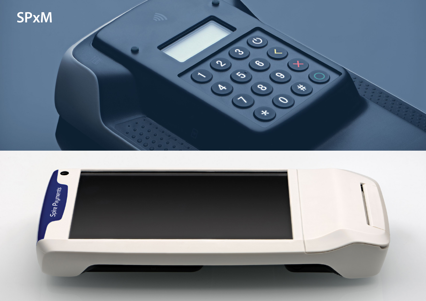